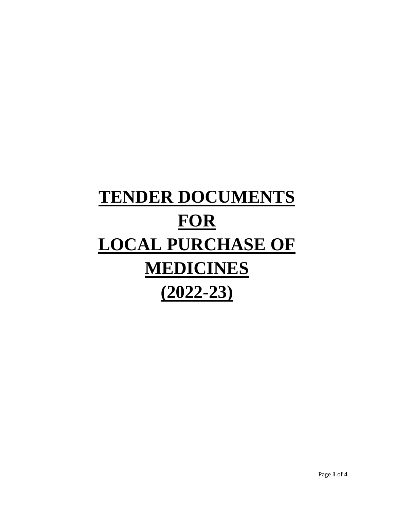# **TENDER DOCUMENTS FOR LOCAL PURCHASE OF MEDICINES (2022-23)**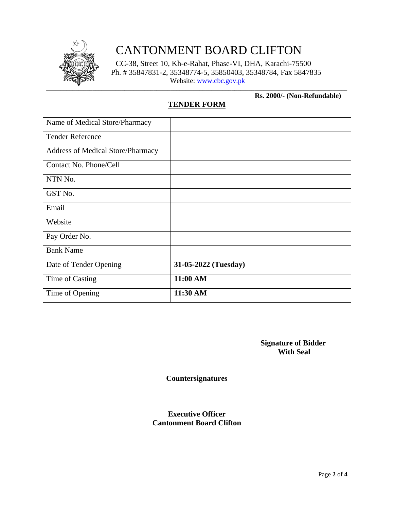

# CANTONMENT BOARD CLIFTON

CC-38, Street 10, Kh-e-Rahat, Phase-VI, DHA, Karachi-75500 Ph. # 35847831-2, 35348774-5, 35850403, 35348784, Fax 5847835 Website: [www.cbc.gov.pk](http://www.cbc.gov.pk/)

#### **Rs. 2000/- (Non-Refundable)**

# **TENDER FORM**

| Name of Medical Store/Pharmacy           |                      |
|------------------------------------------|----------------------|
| <b>Tender Reference</b>                  |                      |
| <b>Address of Medical Store/Pharmacy</b> |                      |
| Contact No. Phone/Cell                   |                      |
| NTN No.                                  |                      |
| GST No.                                  |                      |
| Email                                    |                      |
| Website                                  |                      |
| Pay Order No.                            |                      |
| <b>Bank Name</b>                         |                      |
| Date of Tender Opening                   | 31-05-2022 (Tuesday) |
| Time of Casting                          | 11:00 AM             |
| Time of Opening                          | 11:30 AM             |

 **Signature of Bidder With Seal**

**Countersignatures**

### **Executive Officer Cantonment Board Clifton**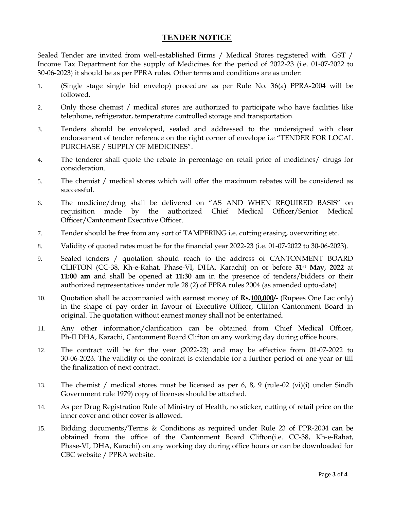## **TENDER NOTICE**

Sealed Tender are invited from well-established Firms / Medical Stores registered with GST / Income Tax Department for the supply of Medicines for the period of 2022-23 (i.e. 01-07-2022 to 30-06-2023) it should be as per PPRA rules. Other terms and conditions are as under:

- 1. (Single stage single bid envelop) procedure as per Rule No. 36(a) PPRA-2004 will be followed.
- 2. Only those chemist / medical stores are authorized to participate who have facilities like telephone, refrigerator, temperature controlled storage and transportation.
- 3. Tenders should be enveloped, sealed and addressed to the undersigned with clear endorsement of tender reference on the right corner of envelope i.e "TENDER FOR LOCAL PURCHASE / SUPPLY OF MEDICINES".
- 4. The tenderer shall quote the rebate in percentage on retail price of medicines/ drugs for consideration.
- 5. The chemist / medical stores which will offer the maximum rebates will be considered as successful.
- 6. The medicine/drug shall be delivered on "AS AND WHEN REQUIRED BASIS" on requisition made by the authorized Chief Medical Officer/Senior Medical Officer/Cantonment Executive Officer.
- 7. Tender should be free from any sort of TAMPERING i.e. cutting erasing, overwriting etc.
- 8. Validity of quoted rates must be for the financial year 2022-23 (i.e. 01-07-2022 to 30-06-2023).
- 9. Sealed tenders / quotation should reach to the address of CANTONMENT BOARD CLIFTON (CC-38, Kh-e-Rahat, Phase-VI, DHA, Karachi) on or before **31st May, 2022** at **11:00 am** and shall be opened at **11:30 am** in the presence of tenders/bidders or their authorized representatives under rule 28 (2) of PPRA rules 2004 (as amended upto-date)
- 10. Quotation shall be accompanied with earnest money of **Rs.100,000/-** (Rupees One Lac only) in the shape of pay order in favour of Executive Officer, Clifton Cantonment Board in original. The quotation without earnest money shall not be entertained.
- 11. Any other information/clarification can be obtained from Chief Medical Officer, Ph-II DHA, Karachi, Cantonment Board Clifton on any working day during office hours.
- 12. The contract will be for the year (2022-23) and may be effective from 01-07-2022 to 30-06-2023. The validity of the contract is extendable for a further period of one year or till the finalization of next contract.
- 13. The chemist / medical stores must be licensed as per 6, 8, 9 (rule-02 (vi)(i) under Sindh Government rule 1979) copy of licenses should be attached.
- 14. As per Drug Registration Rule of Ministry of Health, no sticker, cutting of retail price on the inner cover and other cover is allowed.
- 15. Bidding documents/Terms & Conditions as required under Rule 23 of PPR-2004 can be obtained from the office of the Cantonment Board Clifton(i.e. CC-38, Kh-e-Rahat, Phase-VI, DHA, Karachi) on any working day during office hours or can be downloaded for CBC website / PPRA website.